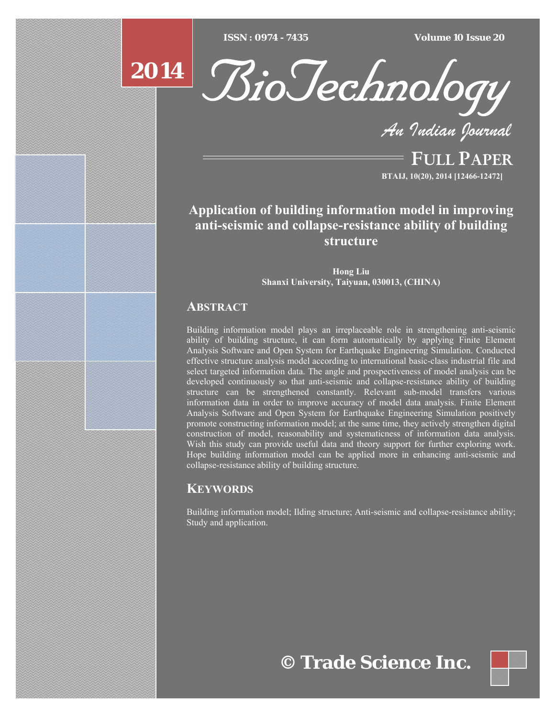$ISSN : 0974 - 7435$ 

*ISSN : 0974 - 7435 Volume 10 Issue 20*

# **2014**



*An Indian Journal*

FULL PAPER **BTAIJ, 10(20), 2014 [12466-12472]**

## **Application of building information model in improving anti-seismic and collapse-resistance ability of building structure**

**Hong Liu Shanxi University, Taiyuan, 030013, (CHINA)**

#### **ABSTRACT**

Building information model plays an irreplaceable role in strengthening anti-seismic ability of building structure, it can form automatically by applying Finite Element Analysis Software and Open System for Earthquake Engineering Simulation. Conducted effective structure analysis model according to international basic-class industrial file and select targeted information data. The angle and prospectiveness of model analysis can be developed continuously so that anti-seismic and collapse-resistance ability of building structure can be strengthened constantly. Relevant sub-model transfers various information data in order to improve accuracy of model data analysis. Finite Element Analysis Software and Open System for Earthquake Engineering Simulation positively promote constructing information model; at the same time, they actively strengthen digital construction of model, reasonability and systematicness of information data analysis. Wish this study can provide useful data and theory support for further exploring work. Hope building information model can be applied more in enhancing anti-seismic and collapse-resistance ability of building structure.

### **KEYWORDS**

Building information model; Ilding structure; Anti-seismic and collapse-resistance ability; Study and application.

# **© Trade Science Inc.**

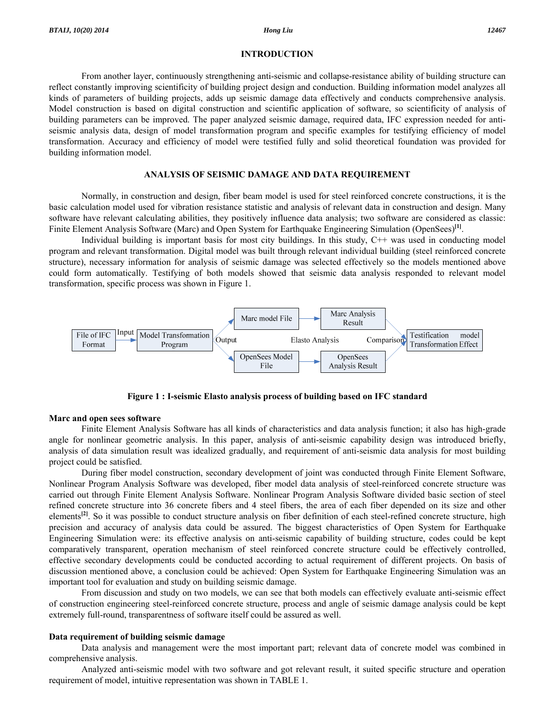#### **INTRODUCTION**

 From another layer, continuously strengthening anti-seismic and collapse-resistance ability of building structure can reflect constantly improving scientificity of building project design and conduction. Building information model analyzes all kinds of parameters of building projects, adds up seismic damage data effectively and conducts comprehensive analysis. Model construction is based on digital construction and scientific application of software, so scientificity of analysis of building parameters can be improved. The paper analyzed seismic damage, required data, IFC expression needed for antiseismic analysis data, design of model transformation program and specific examples for testifying efficiency of model transformation. Accuracy and efficiency of model were testified fully and solid theoretical foundation was provided for building information model.

#### **ANALYSIS OF SEISMIC DAMAGE AND DATA REQUIREMENT**

 Normally, in construction and design, fiber beam model is used for steel reinforced concrete constructions, it is the basic calculation model used for vibration resistance statistic and analysis of relevant data in construction and design. Many software have relevant calculating abilities, they positively influence data analysis; two software are considered as classic: Finite Element Analysis Software (Marc) and Open System for Earthquake Engineering Simulation (OpenSees)**[1]**.

 Individual building is important basis for most city buildings. In this study, C++ was used in conducting model program and relevant transformation. Digital model was built through relevant individual building (steel reinforced concrete structure), necessary information for analysis of seismic damage was selected effectively so the models mentioned above could form automatically. Testifying of both models showed that seismic data analysis responded to relevant model transformation, specific process was shown in Figure 1.



**Figure 1 : I-seismic Elasto analysis process of building based on IFC standard** 

#### **Marc and open sees software**

 Finite Element Analysis Software has all kinds of characteristics and data analysis function; it also has high-grade angle for nonlinear geometric analysis. In this paper, analysis of anti-seismic capability design was introduced briefly, analysis of data simulation result was idealized gradually, and requirement of anti-seismic data analysis for most building project could be satisfied.

 During fiber model construction, secondary development of joint was conducted through Finite Element Software, Nonlinear Program Analysis Software was developed, fiber model data analysis of steel-reinforced concrete structure was carried out through Finite Element Analysis Software. Nonlinear Program Analysis Software divided basic section of steel refined concrete structure into 36 concrete fibers and 4 steel fibers, the area of each fiber depended on its size and other elements<sup>[2]</sup>. So it was possible to conduct structure analysis on fiber definition of each steel-refined concrete structure, high precision and accuracy of analysis data could be assured. The biggest characteristics of Open System for Earthquake Engineering Simulation were: its effective analysis on anti-seismic capability of building structure, codes could be kept comparatively transparent, operation mechanism of steel reinforced concrete structure could be effectively controlled, effective secondary developments could be conducted according to actual requirement of different projects. On basis of discussion mentioned above, a conclusion could be achieved: Open System for Earthquake Engineering Simulation was an important tool for evaluation and study on building seismic damage.

 From discussion and study on two models, we can see that both models can effectively evaluate anti-seismic effect of construction engineering steel-reinforced concrete structure, process and angle of seismic damage analysis could be kept extremely full-round, transparentness of software itself could be assured as well.

#### **Data requirement of building seismic damage**

 Data analysis and management were the most important part; relevant data of concrete model was combined in comprehensive analysis.

 Analyzed anti-seismic model with two software and got relevant result, it suited specific structure and operation requirement of model, intuitive representation was shown in TABLE 1.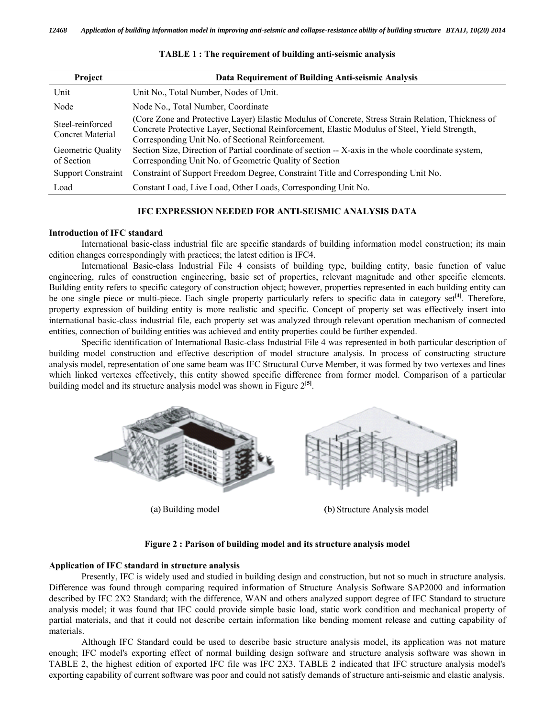| Project                                     | Data Requirement of Building Anti-seismic Analysis                                                                                                                                                                                                        |  |  |  |
|---------------------------------------------|-----------------------------------------------------------------------------------------------------------------------------------------------------------------------------------------------------------------------------------------------------------|--|--|--|
| Unit                                        | Unit No., Total Number, Nodes of Unit.                                                                                                                                                                                                                    |  |  |  |
| Node                                        | Node No., Total Number, Coordinate                                                                                                                                                                                                                        |  |  |  |
| Steel-reinforced<br><b>Concret Material</b> | (Core Zone and Protective Layer) Elastic Modulus of Concrete, Stress Strain Relation, Thickness of<br>Concrete Protective Layer, Sectional Reinforcement, Elastic Modulus of Steel, Yield Strength,<br>Corresponding Unit No. of Sectional Reinforcement. |  |  |  |
| Geometric Quality<br>of Section             | Section Size, Direction of Partial coordinate of section -- X-axis in the whole coordinate system,<br>Corresponding Unit No. of Geometric Quality of Section                                                                                              |  |  |  |
| <b>Support Constraint</b>                   | Constraint of Support Freedom Degree, Constraint Title and Corresponding Unit No.                                                                                                                                                                         |  |  |  |
| Load                                        | Constant Load, Live Load, Other Loads, Corresponding Unit No.                                                                                                                                                                                             |  |  |  |

#### **TABLE 1 : The requirement of building anti-seismic analysis**

#### **IFC EXPRESSION NEEDED FOR ANTI-SEISMIC ANALYSIS DATA**

#### **Introduction of IFC standard**

 International basic-class industrial file are specific standards of building information model construction; its main edition changes correspondingly with practices; the latest edition is IFC4.

 International Basic-class Industrial File 4 consists of building type, building entity, basic function of value engineering, rules of construction engineering, basic set of properties, relevant magnitude and other specific elements. Building entity refers to specific category of construction object; however, properties represented in each building entity can be one single piece or multi-piece. Each single property particularly refers to specific data in category set**[4]**. Therefore, property expression of building entity is more realistic and specific. Concept of property set was effectively insert into international basic-class industrial file, each property set was analyzed through relevant operation mechanism of connected entities, connection of building entities was achieved and entity properties could be further expended.

 Specific identification of International Basic-class Industrial File 4 was represented in both particular description of building model construction and effective description of model structure analysis. In process of constructing structure analysis model, representation of one same beam was IFC Structural Curve Member, it was formed by two vertexes and lines which linked vertexes effectively, this entity showed specific difference from former model. Comparison of a particular building model and its structure analysis model was shown in Figure 2**[5]**.



(a) Building model

(b) Structure Analysis model

#### **Figure 2 : Parison of building model and its structure analysis model**

#### **Application of IFC standard in structure analysis**

 Presently, IFC is widely used and studied in building design and construction, but not so much in structure analysis. Difference was found through comparing required information of Structure Analysis Software SAP2000 and information described by IFC 2X2 Standard; with the difference, WAN and others analyzed support degree of IFC Standard to structure analysis model; it was found that IFC could provide simple basic load, static work condition and mechanical property of partial materials, and that it could not describe certain information like bending moment release and cutting capability of materials.

 Although IFC Standard could be used to describe basic structure analysis model, its application was not mature enough; IFC model's exporting effect of normal building design software and structure analysis software was shown in TABLE 2, the highest edition of exported IFC file was IFC 2X3. TABLE 2 indicated that IFC structure analysis model's exporting capability of current software was poor and could not satisfy demands of structure anti-seismic and elastic analysis.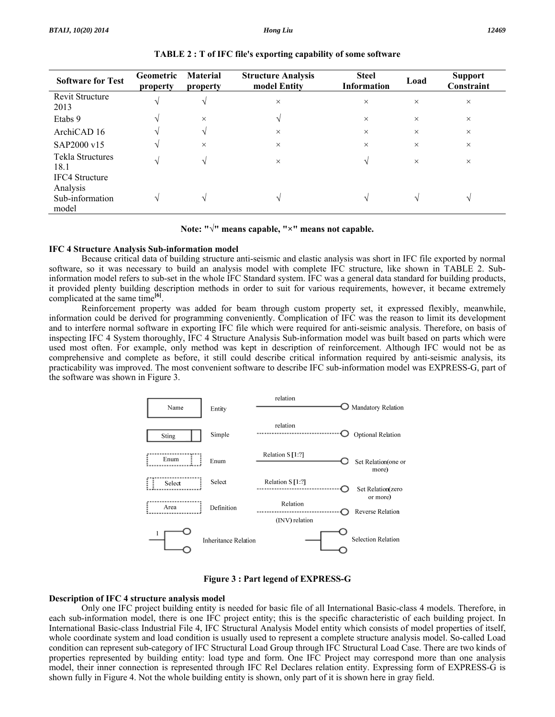| <b>Software for Test</b>                                      | <b>Geometric</b><br>property | <b>Material</b><br>property | <b>Structure Analysis</b><br>model Entity | <b>Steel</b><br><b>Information</b> | Load          | <b>Support</b><br>Constraint |
|---------------------------------------------------------------|------------------------------|-----------------------------|-------------------------------------------|------------------------------------|---------------|------------------------------|
| Revit Structure<br>2013                                       |                              | $\sqrt{ }$                  | $\times$                                  | $\times$                           | $\times$      | $\times$                     |
| Etabs 9                                                       | V                            | $\times$                    | N                                         | $\times$                           | $\times$      | $\times$                     |
| ArchiCAD 16                                                   | N                            | $\sqrt{ }$                  | $\times$                                  | $\times$                           | $\times$      | $\times$                     |
| SAP2000 v15                                                   | V                            | $\times$                    | $\times$                                  | $\times$                           | $\times$      | $\times$                     |
| Tekla Structures<br>18.1                                      | N                            | N                           | $\times$                                  | V                                  | $\times$      | $\times$                     |
| <b>IFC4</b> Structure<br>Analysis<br>Sub-information<br>model | $\mathcal{N}$                | $\mathcal{N}$               |                                           | $\mathcal{N}$                      | $\mathcal{N}$ |                              |

**TABLE 2 : T of IFC file's exporting capability of some software** 

**Note: "√" means capable, "×" means not capable.** 

#### **IFC 4 Structure Analysis Sub-information model**

 Because critical data of building structure anti-seismic and elastic analysis was short in IFC file exported by normal software, so it was necessary to build an analysis model with complete IFC structure, like shown in TABLE 2. Subinformation model refers to sub-set in the whole IFC Standard system. IFC was a general data standard for building products, it provided plenty building description methods in order to suit for various requirements, however, it became extremely complicated at the same time**[6]**.

 Reinforcement property was added for beam through custom property set, it expressed flexibly, meanwhile, information could be derived for programming conveniently. Complication of IFC was the reason to limit its development and to interfere normal software in exporting IFC file which were required for anti-seismic analysis. Therefore, on basis of inspecting IFC 4 System thoroughly, IFC 4 Structure Analysis Sub-information model was built based on parts which were used most often. For example, only method was kept in description of reinforcement. Although IFC would not be as comprehensive and complete as before, it still could describe critical information required by anti-seismic analysis, its practicability was improved. The most convenient software to describe IFC sub-information model was EXPRESS-G, part of the software was shown in Figure 3.



**Figure 3 : Part legend of EXPRESS-G** 

#### **Description of IFC 4 structure analysis model**

 Only one IFC project building entity is needed for basic file of all International Basic-class 4 models. Therefore, in each sub-information model, there is one IFC project entity; this is the specific characteristic of each building project. In International Basic-class Industrial File 4, IFC Structural Analysis Model entity which consists of model properties of itself, whole coordinate system and load condition is usually used to represent a complete structure analysis model. So-called Load condition can represent sub-category of IFC Structural Load Group through IFC Structural Load Case. There are two kinds of properties represented by building entity: load type and form. One IFC Project may correspond more than one analysis model, their inner connection is represented through IFC Rel Declares relation entity. Expressing form of EXPRESS-G is shown fully in Figure 4. Not the whole building entity is shown, only part of it is shown here in gray field.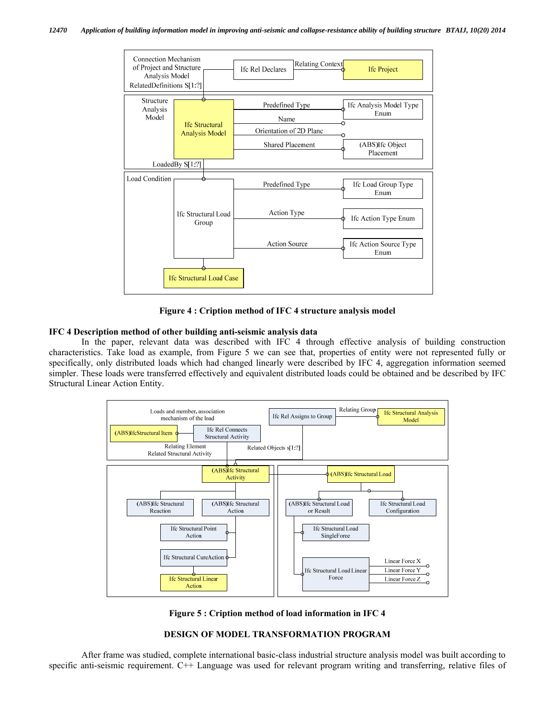

**Figure 4 : Cription method of IFC 4 structure analysis model** 

#### **IFC 4 Description method of other building anti-seismic analysis data**

 In the paper, relevant data was described with IFC 4 through effective analysis of building construction characteristics. Take load as example, from Figure 5 we can see that, properties of entity were not represented fully or specifically, only distributed loads which had changed linearly were described by IFC 4, aggregation information seemed simpler. These loads were transferred effectively and equivalent distributed loads could be obtained and be described by IFC Structural Linear Action Entity.



**Figure 5 : Cription method of load information in IFC 4** 

#### **DESIGN OF MODEL TRANSFORMATION PROGRAM**

 After frame was studied, complete international basic-class industrial structure analysis model was built according to specific anti-seismic requirement. C++ Language was used for relevant program writing and transferring, relative files of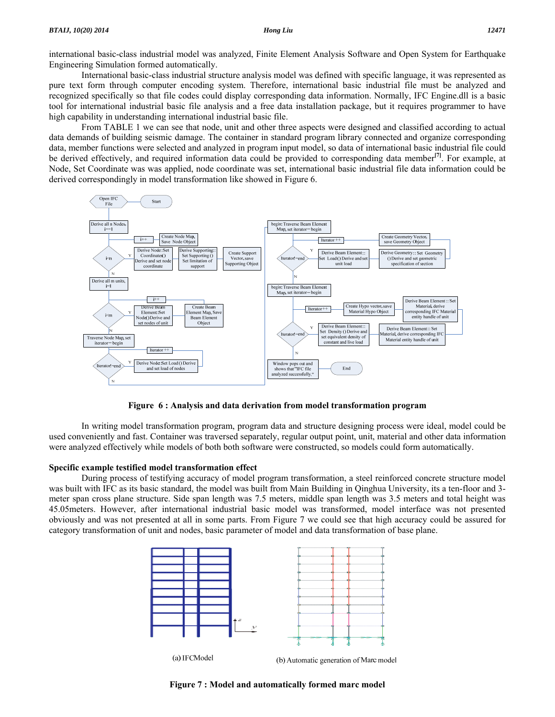international basic-class industrial model was analyzed, Finite Element Analysis Software and Open System for Earthquake Engineering Simulation formed automatically.

 International basic-class industrial structure analysis model was defined with specific language, it was represented as pure text form through computer encoding system. Therefore, international basic industrial file must be analyzed and recognized specifically so that file codes could display corresponding data information. Normally, IFC Engine.dll is a basic tool for international industrial basic file analysis and a free data installation package, but it requires programmer to have high capability in understanding international industrial basic file.

 From TABLE 1 we can see that node, unit and other three aspects were designed and classified according to actual data demands of building seismic damage. The container in standard program library connected and organize corresponding data, member functions were selected and analyzed in program input model, so data of international basic industrial file could be derived effectively, and required information data could be provided to corresponding data member**[7]**. For example, at Node, Set Coordinate was was applied, node coordinate was set, international basic industrial file data information could be derived correspondingly in model transformation like showed in Figure 6.



**Figure 6 : Analysis and data derivation from model transformation program** 

 In writing model transformation program, program data and structure designing process were ideal, model could be used conveniently and fast. Container was traversed separately, regular output point, unit, material and other data information were analyzed effectively while models of both both software were constructed, so models could form automatically.

#### **Specific example testified model transformation effect**

 During process of testifying accuracy of model program transformation, a steel reinforced concrete structure model was built with IFC as its basic standard, the model was built from Main Building in Qinghua University, its a ten-floor and 3 meter span cross plane structure. Side span length was 7.5 meters, middle span length was 3.5 meters and total height was 45.05meters. However, after international industrial basic model was transformed, model interface was not presented obviously and was not presented at all in some parts. From Figure 7 we could see that high accuracy could be assured for category transformation of unit and nodes, basic parameter of model and data transformation of base plane.



(a) IFCModel

(b) Automatic generation of Marc model